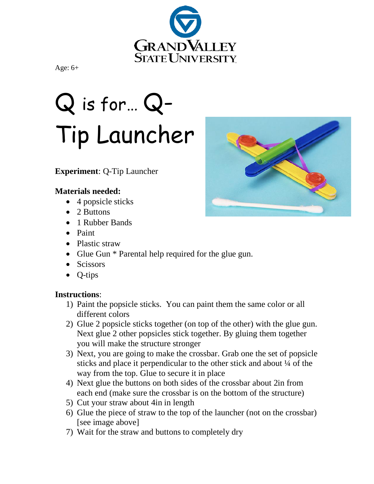

Age: 6+

# Q is for… Q-Tip Launcher

### **Experiment**: Q-Tip Launcher

#### **Materials needed:**

- 4 popsicle sticks
- 2 Buttons
- 1 Rubber Bands
- Paint
- Plastic straw
- Glue Gun \* Parental help required for the glue gun.
- Scissors
- Q-tips

#### **Instructions**:

- 1) Paint the popsicle sticks. You can paint them the same color or all different colors
- 2) Glue 2 popsicle sticks together (on top of the other) with the glue gun. Next glue 2 other popsicles stick together. By gluing them together you will make the structure stronger
- 3) Next, you are going to make the crossbar. Grab one the set of popsicle sticks and place it perpendicular to the other stick and about ¼ of the way from the top. Glue to secure it in place
- 4) Next glue the buttons on both sides of the crossbar about 2in from each end (make sure the crossbar is on the bottom of the structure)
- 5) Cut your straw about 4in in length
- 6) Glue the piece of straw to the top of the launcher (not on the crossbar) [see image above]
- 7) Wait for the straw and buttons to completely dry

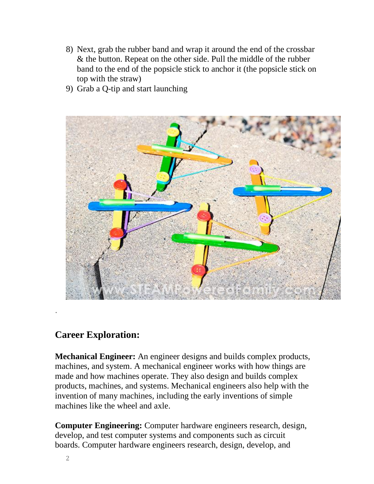- 8) Next, grab the rubber band and wrap it around the end of the crossbar & the button. Repeat on the other side. Pull the middle of the rubber band to the end of the popsicle stick to anchor it (the popsicle stick on top with the straw)
- 9) Grab a Q-tip and start launching



## **Career Exploration:**

**Mechanical Engineer:** An engineer designs and builds complex products, machines, and system. A mechanical engineer works with how things are made and how machines operate. They also design and builds complex products, machines, and systems. Mechanical engineers also help with the invention of many machines, including the early inventions of simple machines like the wheel and axle.

**Computer Engineering:** Computer hardware engineers research, design, develop, and test computer systems and components such as circuit boards. Computer hardware engineers research, design, develop, and